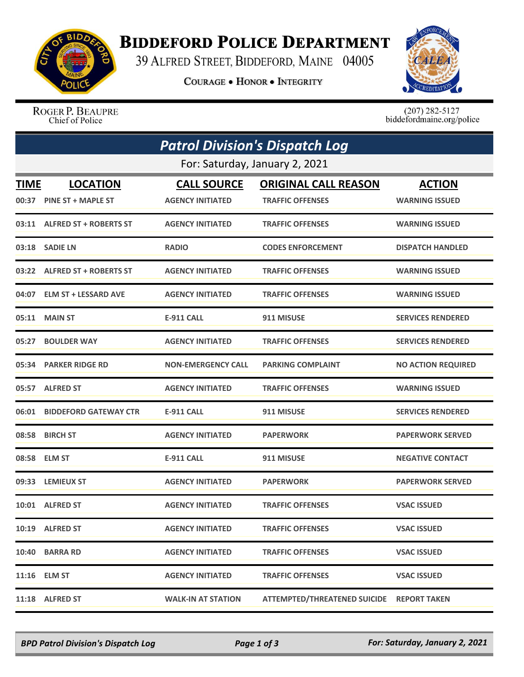

## **BIDDEFORD POLICE DEPARTMENT**

39 ALFRED STREET, BIDDEFORD, MAINE 04005

**COURAGE . HONOR . INTEGRITY** 



ROGER P. BEAUPRE Chief of Police

 $(207)$  282-5127<br>biddefordmaine.org/police

|                                | <b>Patrol Division's Dispatch Log</b> |                           |                                           |                           |  |  |  |  |
|--------------------------------|---------------------------------------|---------------------------|-------------------------------------------|---------------------------|--|--|--|--|
| For: Saturday, January 2, 2021 |                                       |                           |                                           |                           |  |  |  |  |
| <b>TIME</b>                    | <b>LOCATION</b>                       | <b>CALL SOURCE</b>        | <b>ORIGINAL CALL REASON</b>               | <b>ACTION</b>             |  |  |  |  |
|                                | 00:37 PINE ST + MAPLE ST              | <b>AGENCY INITIATED</b>   | <b>TRAFFIC OFFENSES</b>                   | <b>WARNING ISSUED</b>     |  |  |  |  |
|                                | 03:11 ALFRED ST + ROBERTS ST          | <b>AGENCY INITIATED</b>   | <b>TRAFFIC OFFENSES</b>                   | <b>WARNING ISSUED</b>     |  |  |  |  |
|                                | 03:18 SADIE LN                        | <b>RADIO</b>              | <b>CODES ENFORCEMENT</b>                  | <b>DISPATCH HANDLED</b>   |  |  |  |  |
|                                | 03:22 ALFRED ST + ROBERTS ST          | <b>AGENCY INITIATED</b>   | <b>TRAFFIC OFFENSES</b>                   | <b>WARNING ISSUED</b>     |  |  |  |  |
|                                | 04:07 ELM ST + LESSARD AVE            | <b>AGENCY INITIATED</b>   | <b>TRAFFIC OFFENSES</b>                   | <b>WARNING ISSUED</b>     |  |  |  |  |
|                                | 05:11 MAIN ST                         | <b>E-911 CALL</b>         | 911 MISUSE                                | <b>SERVICES RENDERED</b>  |  |  |  |  |
| 05:27                          | <b>BOULDER WAY</b>                    | <b>AGENCY INITIATED</b>   | <b>TRAFFIC OFFENSES</b>                   | <b>SERVICES RENDERED</b>  |  |  |  |  |
|                                | 05:34 PARKER RIDGE RD                 | <b>NON-EMERGENCY CALL</b> | <b>PARKING COMPLAINT</b>                  | <b>NO ACTION REQUIRED</b> |  |  |  |  |
|                                | 05:57 ALFRED ST                       | <b>AGENCY INITIATED</b>   | <b>TRAFFIC OFFENSES</b>                   | <b>WARNING ISSUED</b>     |  |  |  |  |
|                                | 06:01 BIDDEFORD GATEWAY CTR           | <b>E-911 CALL</b>         | 911 MISUSE                                | <b>SERVICES RENDERED</b>  |  |  |  |  |
| 08:58                          | <b>BIRCH ST</b>                       | <b>AGENCY INITIATED</b>   | <b>PAPERWORK</b>                          | <b>PAPERWORK SERVED</b>   |  |  |  |  |
|                                | 08:58 ELM ST                          | <b>E-911 CALL</b>         | 911 MISUSE                                | <b>NEGATIVE CONTACT</b>   |  |  |  |  |
|                                | 09:33 LEMIEUX ST                      | <b>AGENCY INITIATED</b>   | <b>PAPERWORK</b>                          | <b>PAPERWORK SERVED</b>   |  |  |  |  |
|                                | 10:01 ALFRED ST                       | <b>AGENCY INITIATED</b>   | <b>TRAFFIC OFFENSES</b>                   | <b>VSAC ISSUED</b>        |  |  |  |  |
|                                | 10:19 ALFRED ST                       | <b>AGENCY INITIATED</b>   | <b>TRAFFIC OFFENSES</b>                   | <b>VSAC ISSUED</b>        |  |  |  |  |
|                                | 10:40 BARRA RD                        | <b>AGENCY INITIATED</b>   | <b>TRAFFIC OFFENSES</b>                   | <b>VSAC ISSUED</b>        |  |  |  |  |
|                                | 11:16 ELM ST                          | <b>AGENCY INITIATED</b>   | <b>TRAFFIC OFFENSES</b>                   | <b>VSAC ISSUED</b>        |  |  |  |  |
|                                | 11:18 ALFRED ST                       | <b>WALK-IN AT STATION</b> | ATTEMPTED/THREATENED SUICIDE REPORT TAKEN |                           |  |  |  |  |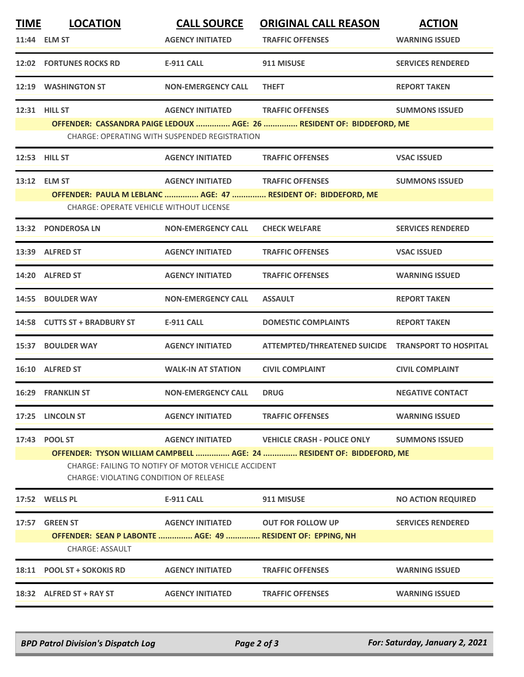| <b>TIME</b> | <b>LOCATION</b>                                                                                                              | <b>CALL SOURCE</b>                                   | <b>ORIGINAL CALL REASON</b>                                           | <b>ACTION</b>             |  |  |
|-------------|------------------------------------------------------------------------------------------------------------------------------|------------------------------------------------------|-----------------------------------------------------------------------|---------------------------|--|--|
|             | 11:44 ELM ST                                                                                                                 | <b>AGENCY INITIATED</b>                              | <b>TRAFFIC OFFENSES</b>                                               | <b>WARNING ISSUED</b>     |  |  |
|             | <b>12:02 FORTUNES ROCKS RD</b>                                                                                               | <b>E-911 CALL</b>                                    | 911 MISUSE                                                            | <b>SERVICES RENDERED</b>  |  |  |
|             | 12:19 WASHINGTON ST                                                                                                          | <b>NON-EMERGENCY CALL</b>                            | <b>THEFT</b>                                                          | <b>REPORT TAKEN</b>       |  |  |
|             | <b>12:31 HILL ST</b>                                                                                                         | <b>AGENCY INITIATED</b>                              | <b>TRAFFIC OFFENSES</b>                                               | <b>SUMMONS ISSUED</b>     |  |  |
|             |                                                                                                                              |                                                      | OFFENDER: CASSANDRA PAIGE LEDOUX  AGE: 26  RESIDENT OF: BIDDEFORD, ME |                           |  |  |
|             |                                                                                                                              | <b>CHARGE: OPERATING WITH SUSPENDED REGISTRATION</b> |                                                                       |                           |  |  |
|             | 12:53 HILL ST                                                                                                                | <b>AGENCY INITIATED</b>                              | <b>TRAFFIC OFFENSES</b>                                               | <b>VSAC ISSUED</b>        |  |  |
|             | 13:12 ELM ST                                                                                                                 | <b>AGENCY INITIATED</b>                              | <b>TRAFFIC OFFENSES</b>                                               | <b>SUMMONS ISSUED</b>     |  |  |
|             |                                                                                                                              |                                                      | OFFENDER: PAULA M LEBLANC  AGE: 47  RESIDENT OF: BIDDEFORD, ME        |                           |  |  |
|             | <b>CHARGE: OPERATE VEHICLE WITHOUT LICENSE</b>                                                                               |                                                      |                                                                       |                           |  |  |
|             | 13:32 PONDEROSA LN                                                                                                           | <b>NON-EMERGENCY CALL</b>                            | <b>CHECK WELFARE</b>                                                  | <b>SERVICES RENDERED</b>  |  |  |
|             | 13:39 ALFRED ST                                                                                                              | <b>AGENCY INITIATED</b>                              | <b>TRAFFIC OFFENSES</b>                                               | <b>VSAC ISSUED</b>        |  |  |
|             | 14:20 ALFRED ST                                                                                                              | <b>AGENCY INITIATED</b>                              | <b>TRAFFIC OFFENSES</b>                                               | <b>WARNING ISSUED</b>     |  |  |
|             | 14:55 BOULDER WAY                                                                                                            | <b>NON-EMERGENCY CALL</b>                            | <b>ASSAULT</b>                                                        | <b>REPORT TAKEN</b>       |  |  |
|             | 14:58 CUTTS ST + BRADBURY ST                                                                                                 | <b>E-911 CALL</b>                                    | <b>DOMESTIC COMPLAINTS</b>                                            | <b>REPORT TAKEN</b>       |  |  |
|             | 15:37 BOULDER WAY                                                                                                            | <b>AGENCY INITIATED</b>                              | ATTEMPTED/THREATENED SUICIDE TRANSPORT TO HOSPITAL                    |                           |  |  |
|             | 16:10 ALFRED ST                                                                                                              | <b>WALK-IN AT STATION</b>                            | <b>CIVIL COMPLAINT</b>                                                | <b>CIVIL COMPLAINT</b>    |  |  |
|             | <b>16:29 FRANKLIN ST</b>                                                                                                     | <b>NON-EMERGENCY CALL</b>                            | <b>DRUG</b>                                                           | <b>NEGATIVE CONTACT</b>   |  |  |
|             | 17:25 LINCOLN ST                                                                                                             | <b>AGENCY INITIATED</b>                              | <b>TRAFFIC OFFENSES</b>                                               | <b>WARNING ISSUED</b>     |  |  |
|             | 17:43 POOL ST                                                                                                                |                                                      | AGENCY INITIATED VEHICLE CRASH - POLICE ONLY                          | <b>SUMMONS ISSUED</b>     |  |  |
|             | OFFENDER: TYSON WILLIAM CAMPBELL  AGE: 24  RESIDENT OF: BIDDEFORD, ME<br>CHARGE: FAILING TO NOTIFY OF MOTOR VEHICLE ACCIDENT |                                                      |                                                                       |                           |  |  |
|             | CHARGE: VIOLATING CONDITION OF RELEASE                                                                                       |                                                      |                                                                       |                           |  |  |
|             | 17:52 WELLS PL                                                                                                               | E-911 CALL                                           | 911 MISUSE                                                            | <b>NO ACTION REQUIRED</b> |  |  |
| 17:57       | <b>GREEN ST</b>                                                                                                              | <b>AGENCY INITIATED</b>                              | <b>OUT FOR FOLLOW UP</b>                                              | <b>SERVICES RENDERED</b>  |  |  |
|             | OFFENDER: SEAN P LABONTE  AGE: 49  RESIDENT OF: EPPING, NH                                                                   |                                                      |                                                                       |                           |  |  |
|             | <b>CHARGE: ASSAULT</b>                                                                                                       |                                                      |                                                                       |                           |  |  |
|             | 18:11 POOL ST + SOKOKIS RD                                                                                                   | <b>AGENCY INITIATED</b>                              | <b>TRAFFIC OFFENSES</b>                                               | <b>WARNING ISSUED</b>     |  |  |
|             | 18:32 ALFRED ST + RAY ST                                                                                                     | <b>AGENCY INITIATED</b>                              | <b>TRAFFIC OFFENSES</b>                                               | <b>WARNING ISSUED</b>     |  |  |
|             |                                                                                                                              |                                                      |                                                                       |                           |  |  |

*BPD Patrol Division's Dispatch Log Page 2 of 3 For: Saturday, January 2, 2021*